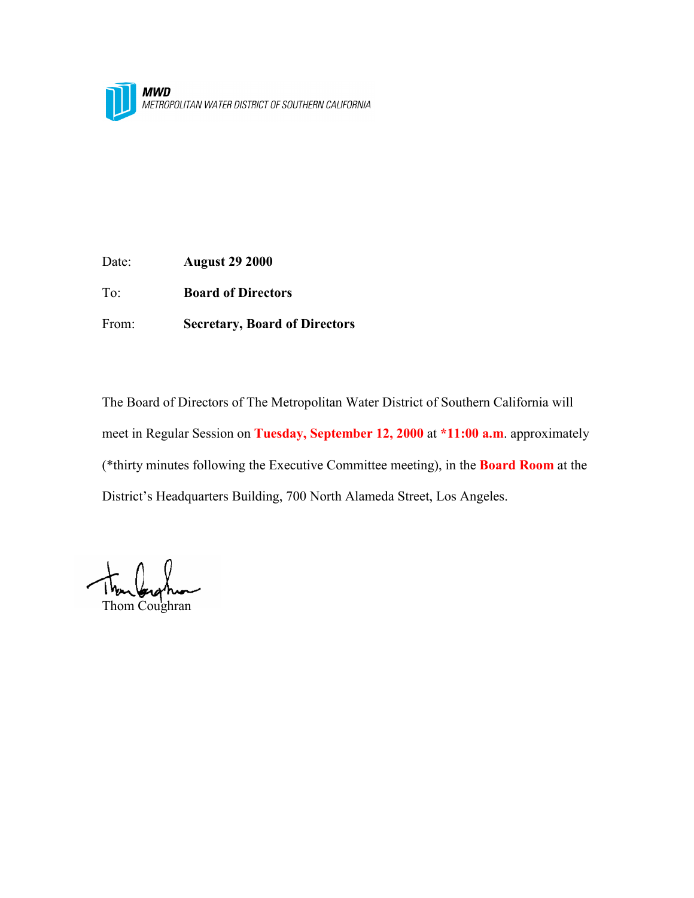

Date: **August 29 2000**

To: **Board of Directors**

From: **Secretary, Board of Directors**

The Board of Directors of The Metropolitan Water District of Southern California will meet in Regular Session on **Tuesday, September 12, 2000** at **\*11:00 a.m**. approximately (\*thirty minutes following the Executive Committee meeting), in the **Board Room** at the District's Headquarters Building, 700 North Alameda Street, Los Angeles.

Thom Coughran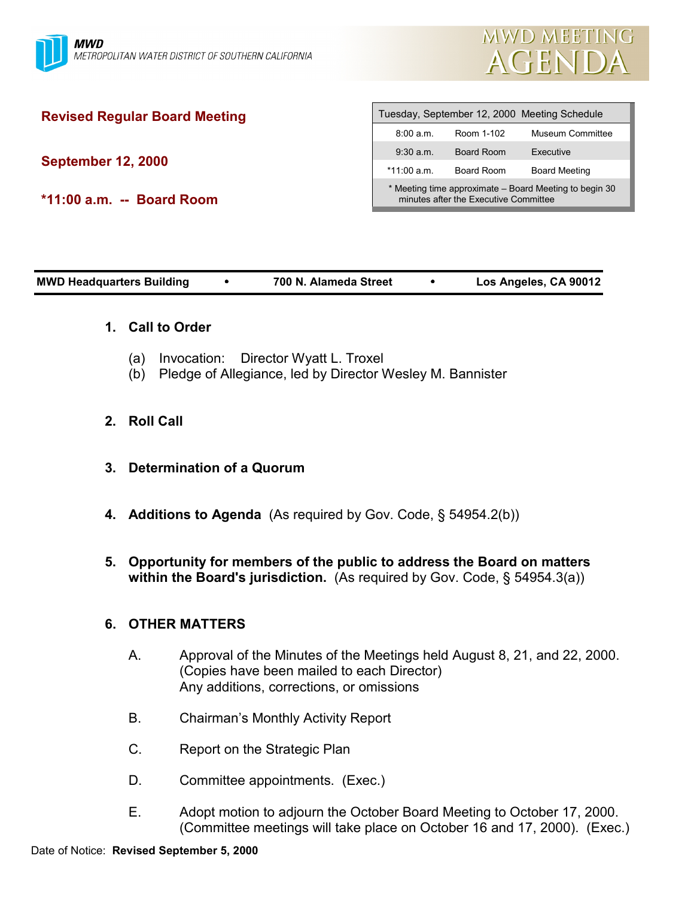

# **Revised Regular Board Meeting**

**September 12, 2000**

**\*11:00 a.m. -- Board Room**

| Tuesday, September 12, 2000 Meeting Schedule                                                    |            |                         |  |  |  |
|-------------------------------------------------------------------------------------------------|------------|-------------------------|--|--|--|
| 8:00 a.m.                                                                                       | Room 1-102 | <b>Museum Committee</b> |  |  |  |
| 9:30 a.m.                                                                                       | Board Room | Executive               |  |  |  |
| *11:00 a.m.                                                                                     | Board Room | <b>Board Meeting</b>    |  |  |  |
| * Meeting time approximate – Board Meeting to begin 30<br>minutes after the Executive Committee |            |                         |  |  |  |

| <b>MWD Headquarters Building</b> | 700 N. Alameda Street | Los Angeles, CA 90012 |
|----------------------------------|-----------------------|-----------------------|
|                                  |                       |                       |

### **1. Call to Order**

- (a) Invocation: Director Wyatt L. Troxel
- (b) Pledge of Allegiance, led by Director Wesley M. Bannister
- **2. Roll Call**
- **3. Determination of a Quorum**
- **4. Additions to Agenda** (As required by Gov. Code, § 54954.2(b))
- **5. Opportunity for members of the public to address the Board on matters within the Board's jurisdiction.** (As required by Gov. Code, § 54954.3(a))

## **6. OTHER MATTERS**

- A. Approval of the Minutes of the Meetings held August 8, 21, and 22, 2000. (Copies have been mailed to each Director) Any additions, corrections, or omissions
- B. Chairman's Monthly Activity Report
- C. Report on the Strategic Plan
- D. Committee appointments. (Exec.)
- E. Adopt motion to adjourn the October Board Meeting to October 17, 2000. (Committee meetings will take place on October 16 and 17, 2000). (Exec.)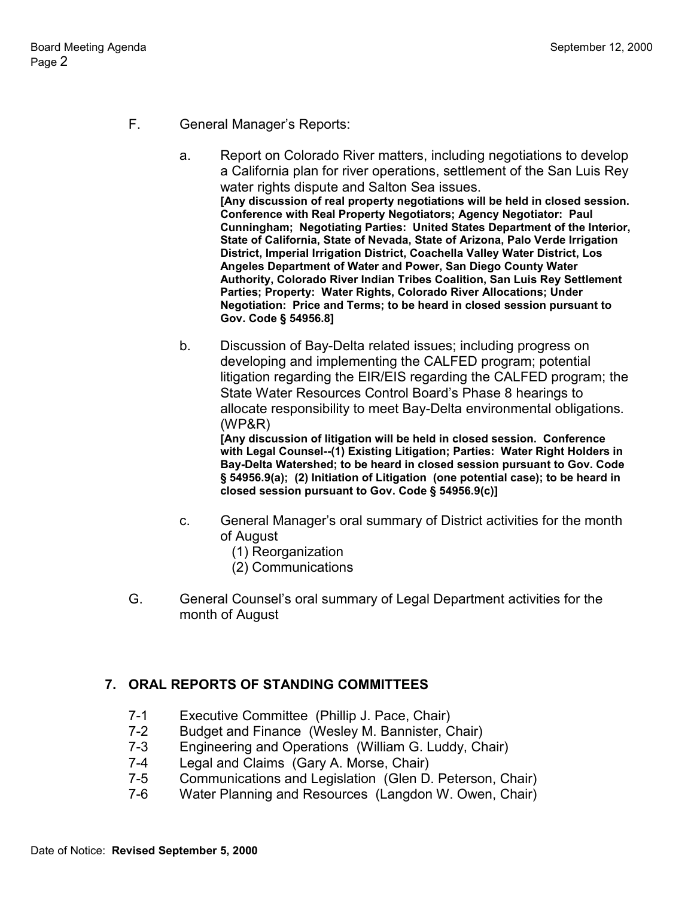- F. General Manager's Reports:
	- a. Report on Colorado River matters, including negotiations to develop a California plan for river operations, settlement of the San Luis Rey water rights dispute and Salton Sea issues. **[Any discussion of real property negotiations will be held in closed session. Conference with Real Property Negotiators; Agency Negotiator: Paul Cunningham; Negotiating Parties: United States Department of the Interior, State of California, State of Nevada, State of Arizona, Palo Verde Irrigation District, Imperial Irrigation District, Coachella Valley Water District, Los Angeles Department of Water and Power, San Diego County Water Authority, Colorado River Indian Tribes Coalition, San Luis Rey Settlement Parties; Property: Water Rights, Colorado River Allocations; Under Negotiation: Price and Terms; to be heard in closed session pursuant to Gov. Code § 54956.8]**
	- b. Discussion of Bay-Delta related issues; including progress on developing and implementing the CALFED program; potential litigation regarding the EIR/EIS regarding the CALFED program; the State Water Resources Control Board's Phase 8 hearings to allocate responsibility to meet Bay-Delta environmental obligations. (WP&R)

**[Any discussion of litigation will be held in closed session. Conference with Legal Counsel--(1) Existing Litigation; Parties: Water Right Holders in Bay-Delta Watershed; to be heard in closed session pursuant to Gov. Code § 54956.9(a); (2) Initiation of Litigation (one potential case); to be heard in closed session pursuant to Gov. Code § 54956.9(c)]**

- c. General Manager's oral summary of District activities for the month of August
	- (1) Reorganization
	- (2) Communications
- G. General Counsel's oral summary of Legal Department activities for the month of August

# **7. ORAL REPORTS OF STANDING COMMITTEES**

- 7-1 Executive Committee (Phillip J. Pace, Chair)
- 7-2 Budget and Finance (Wesley M. Bannister, Chair)
- 7-3 Engineering and Operations (William G. Luddy, Chair)
- 7-4 Legal and Claims (Gary A. Morse, Chair)
- 7-5 Communications and Legislation (Glen D. Peterson, Chair)
- 7-6 Water Planning and Resources (Langdon W. Owen, Chair)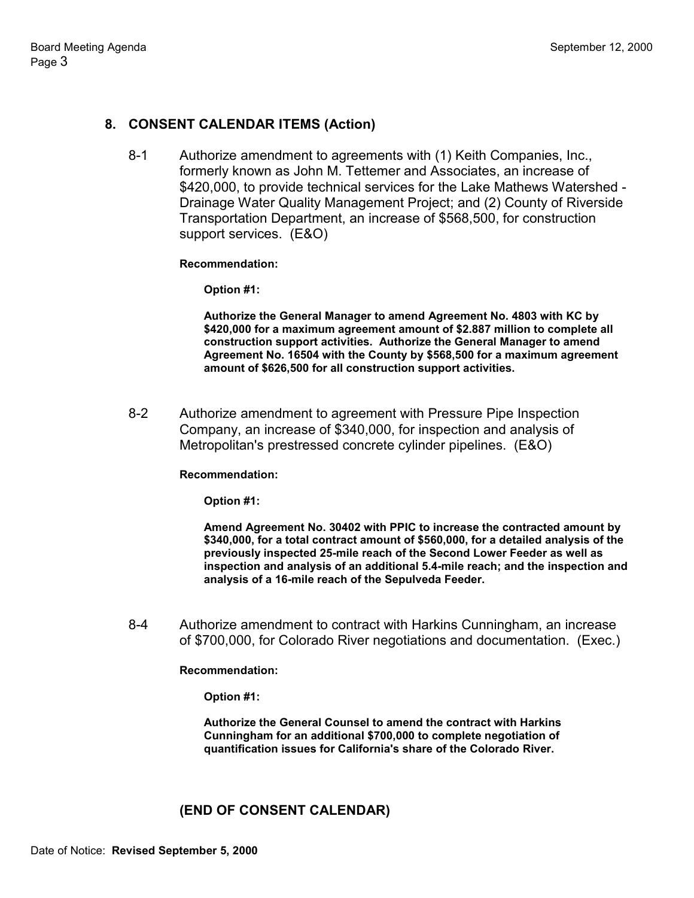# **8. CONSENT CALENDAR ITEMS (Action)**

8-1 Authorize amendment to agreements with (1) Keith Companies, Inc., formerly known as John M. Tettemer and Associates, an increase of \$420,000, to provide technical services for the Lake Mathews Watershed - Drainage Water Quality Management Project; and (2) County of Riverside Transportation Department, an increase of \$568,500, for construction support services. (E&O)

### **Recommendation:**

**Option #1:**

**Authorize the General Manager to amend Agreement No. 4803 with KC by \$420,000 for a maximum agreement amount of \$2.887 million to complete all construction support activities. Authorize the General Manager to amend Agreement No. 16504 with the County by \$568,500 for a maximum agreement amount of \$626,500 for all construction support activities.**

8-2 Authorize amendment to agreement with Pressure Pipe Inspection Company, an increase of \$340,000, for inspection and analysis of Metropolitan's prestressed concrete cylinder pipelines. (E&O)

### **Recommendation:**

**Option #1:**

**Amend Agreement No. 30402 with PPIC to increase the contracted amount by \$340,000, for a total contract amount of \$560,000, for a detailed analysis of the previously inspected 25-mile reach of the Second Lower Feeder as well as inspection and analysis of an additional 5.4-mile reach; and the inspection and analysis of a 16-mile reach of the Sepulveda Feeder.**

8-4 Authorize amendment to contract with Harkins Cunningham, an increase of \$700,000, for Colorado River negotiations and documentation. (Exec.)

#### **Recommendation:**

**Option #1:**

**Authorize the General Counsel to amend the contract with Harkins Cunningham for an additional \$700,000 to complete negotiation of quantification issues for California's share of the Colorado River.**

## **(END OF CONSENT CALENDAR)**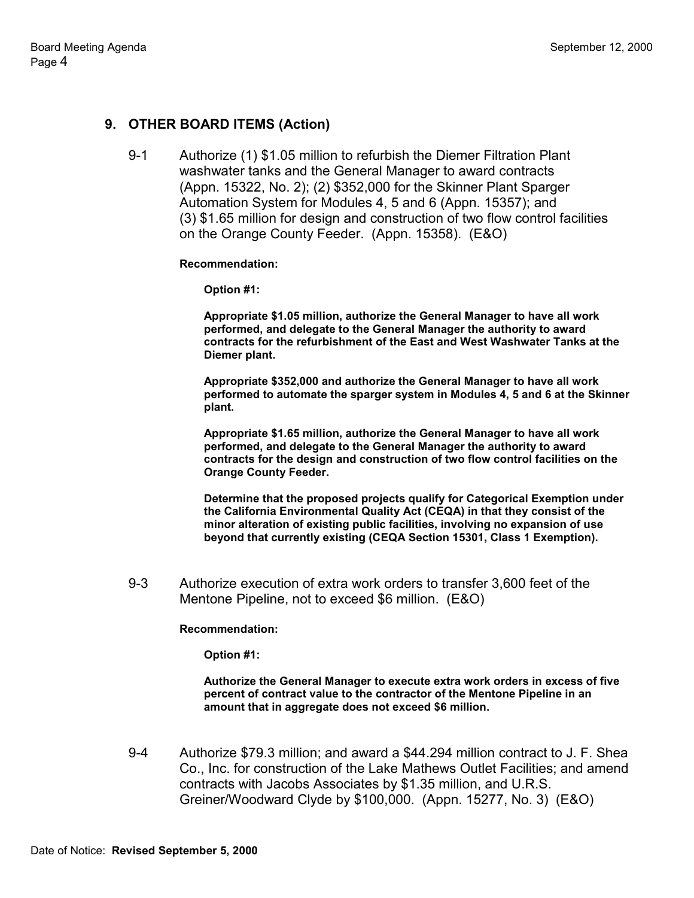# **9. OTHER BOARD ITEMS (Action)**

9-1 Authorize (1) \$1.05 million to refurbish the Diemer Filtration Plant washwater tanks and the General Manager to award contracts (Appn. 15322, No. 2); (2) \$352,000 for the Skinner Plant Sparger Automation System for Modules 4, 5 and 6 (Appn. 15357); and (3) \$1.65 million for design and construction of two flow control facilities on the Orange County Feeder. (Appn. 15358). (E&O)

#### **Recommendation:**

**Option #1:**

**Appropriate \$1.05 million, authorize the General Manager to have all work performed, and delegate to the General Manager the authority to award contracts for the refurbishment of the East and West Washwater Tanks at the Diemer plant.**

**Appropriate \$352,000 and authorize the General Manager to have all work performed to automate the sparger system in Modules 4, 5 and 6 at the Skinner plant.**

**Appropriate \$1.65 million, authorize the General Manager to have all work performed, and delegate to the General Manager the authority to award contracts for the design and construction of two flow control facilities on the Orange County Feeder.**

**Determine that the proposed projects qualify for Categorical Exemption under the California Environmental Quality Act (CEQA) in that they consist of the minor alteration of existing public facilities, involving no expansion of use beyond that currently existing (CEQA Section 15301, Class 1 Exemption).**

9-3 Authorize execution of extra work orders to transfer 3,600 feet of the Mentone Pipeline, not to exceed \$6 million. (E&O)

### **Recommendation:**

**Option #1:**

**Authorize the General Manager to execute extra work orders in excess of five percent of contract value to the contractor of the Mentone Pipeline in an amount that in aggregate does not exceed \$6 million.**

9-4 Authorize \$79.3 million; and award a \$44.294 million contract to J. F. Shea Co., Inc. for construction of the Lake Mathews Outlet Facilities; and amend contracts with Jacobs Associates by \$1.35 million, and U.R.S. Greiner/Woodward Clyde by \$100,000. (Appn. 15277, No. 3) (E&O)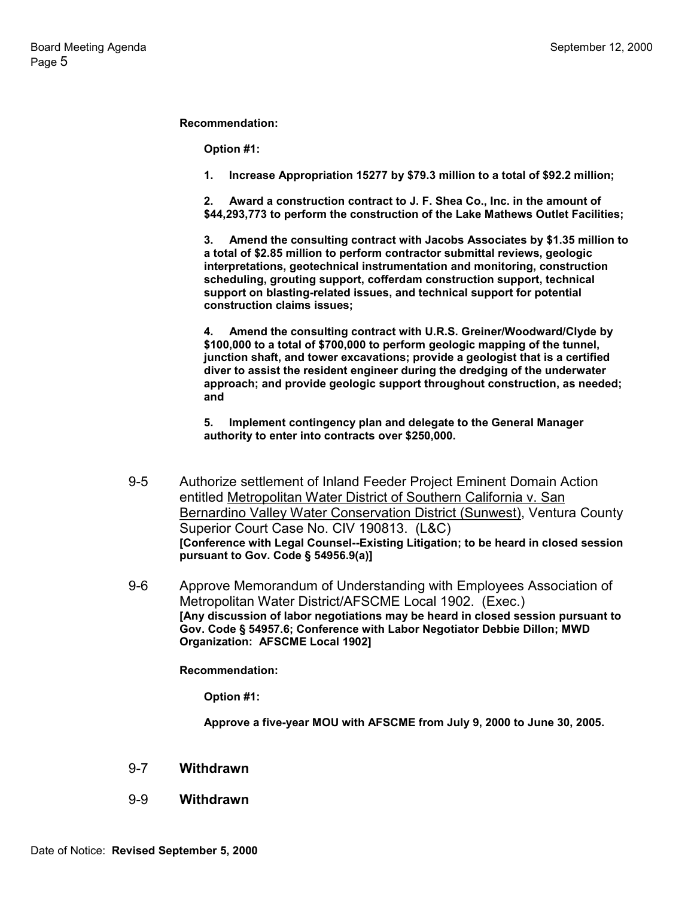**Recommendation:**

**Option #1:**

**1. Increase Appropriation 15277 by \$79.3 million to a total of \$92.2 million;**

**2. Award a construction contract to J. F. Shea Co., Inc. in the amount of \$44,293,773 to perform the construction of the Lake Mathews Outlet Facilities;**

**3. Amend the consulting contract with Jacobs Associates by \$1.35 million to a total of \$2.85 million to perform contractor submittal reviews, geologic interpretations, geotechnical instrumentation and monitoring, construction scheduling, grouting support, cofferdam construction support, technical support on blasting-related issues, and technical support for potential construction claims issues;**

**4. Amend the consulting contract with U.R.S. Greiner/Woodward/Clyde by \$100,000 to a total of \$700,000 to perform geologic mapping of the tunnel, junction shaft, and tower excavations; provide a geologist that is a certified diver to assist the resident engineer during the dredging of the underwater approach; and provide geologic support throughout construction, as needed; and**

**5. Implement contingency plan and delegate to the General Manager authority to enter into contracts over \$250,000.**

- 9-5 Authorize settlement of Inland Feeder Project Eminent Domain Action entitled Metropolitan Water District of Southern California v. San Bernardino Valley Water Conservation District (Sunwest), Ventura County Superior Court Case No. CIV 190813. (L&C) **[Conference with Legal Counsel--Existing Litigation; to be heard in closed session pursuant to Gov. Code § 54956.9(a)]**
- 9-6 Approve Memorandum of Understanding with Employees Association of Metropolitan Water District/AFSCME Local 1902. (Exec.) **[Any discussion of labor negotiations may be heard in closed session pursuant to Gov. Code § 54957.6; Conference with Labor Negotiator Debbie Dillon; MWD Organization: AFSCME Local 1902]**

**Recommendation:**

**Option #1:**

**Approve a five-year MOU with AFSCME from July 9, 2000 to June 30, 2005.**

#### 9-7 **Withdrawn**

9-9 **Withdrawn**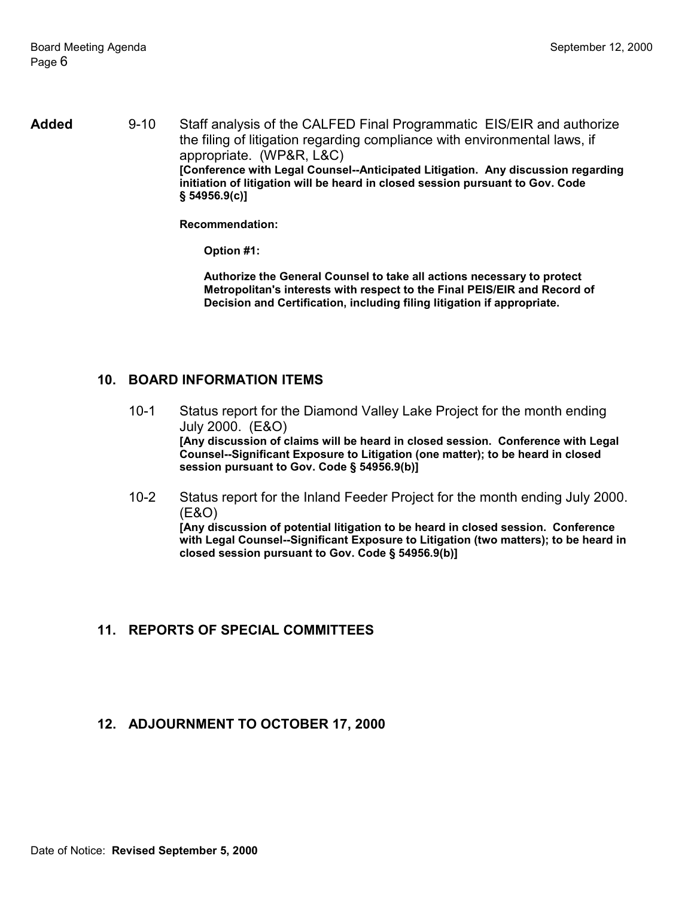**Added** 9-10 Staff analysis of the CALFED Final Programmatic EIS/EIR and authorize the filing of litigation regarding compliance with environmental laws, if appropriate. (WP&R, L&C) **[Conference with Legal Counsel--Anticipated Litigation. Any discussion regarding initiation of litigation will be heard in closed session pursuant to Gov. Code § 54956.9(c)]**

**Recommendation:**

**Option #1:**

**Authorize the General Counsel to take all actions necessary to protect Metropolitan's interests with respect to the Final PEIS/EIR and Record of Decision and Certification, including filing litigation if appropriate.**

### **10. BOARD INFORMATION ITEMS**

- 10-1 Status report for the Diamond Valley Lake Project for the month ending July 2000. (E&O) **[Any discussion of claims will be heard in closed session. Conference with Legal Counsel--Significant Exposure to Litigation (one matter); to be heard in closed session pursuant to Gov. Code § 54956.9(b)]**
- 10-2 Status report for the Inland Feeder Project for the month ending July 2000. (E&O) **[Any discussion of potential litigation to be heard in closed session. Conference**

**with Legal Counsel--Significant Exposure to Litigation (two matters); to be heard in closed session pursuant to Gov. Code § 54956.9(b)]**

### **11. REPORTS OF SPECIAL COMMITTEES**

### **12. ADJOURNMENT TO OCTOBER 17, 2000**